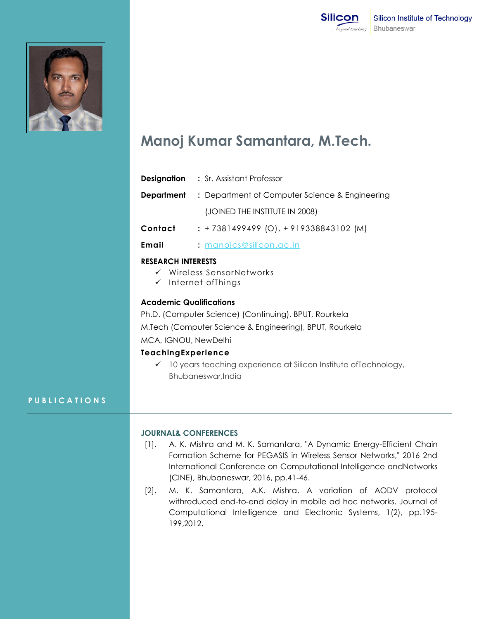



# **Manoj Kumar Samantara, M.Tech.**

| <b>Designation</b> | : Sr. Assistant Professor                      |
|--------------------|------------------------------------------------|
| Department         | : Department of Computer Science & Engineering |
|                    | (JOINED THE INSTITUTE IN 2008)                 |
| Contact            | $: +7381499499$ (O), $+919338843102$ (M)       |

**Email :** [manojcs@silicon.ac.in](mailto:manojcs@silicon.ac.in)

### **RESEARCH INTERESTS**

- $\checkmark$  Wireless SensorNetworks
- $\checkmark$  Internet ofThings

## **Academic Qualifications**

Ph.D. (Computer Science) (Continuing), BPUT, Rourkela M.Tech (Computer Science & Engineering), BPUT, Rourkela MCA, IGNOU, NewDelhi

#### **TeachingExperience**

 $\checkmark$  10 years teaching experience at Silicon Institute of Technology, Bhubaneswar,India

## **P U B L I C A T I O N S**

#### **JOURNAL& CONFERENCES**

- [1]. A. K. Mishra and M. K. Samantara, "A Dynamic Energy-Efficient Chain Formation Scheme for PEGASIS in Wireless Sensor Networks," 2016 2nd International Conference on Computational Intelligence andNetworks (CINE), Bhubaneswar, 2016, pp.41-46.
- [2]. M. K. Samantara, A.K. Mishra, A variation of AODV protocol withreduced end-to-end delay in mobile ad hoc networks. Journal of Computational Intelligence and Electronic Systems, 1(2), pp.195- 199,2012.